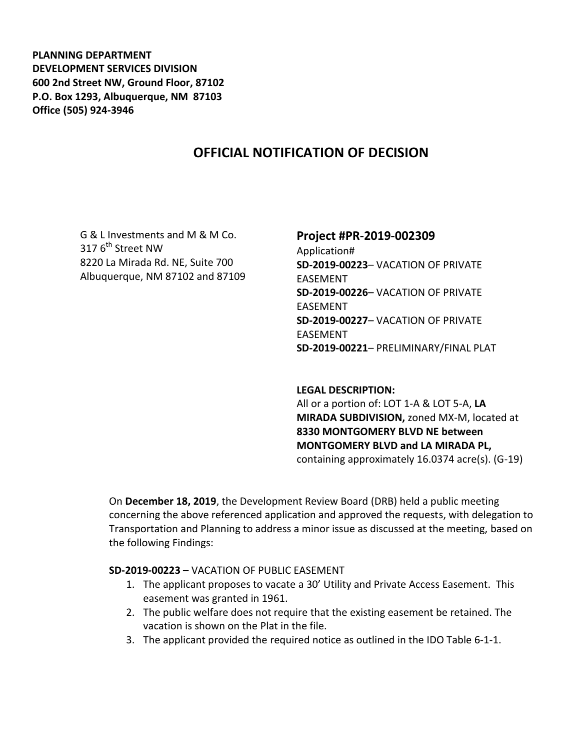**PLANNING DEPARTMENT DEVELOPMENT SERVICES DIVISION 600 2nd Street NW, Ground Floor, 87102 P.O. Box 1293, Albuquerque, NM 87103 Office (505) 924-3946** 

# **OFFICIAL NOTIFICATION OF DECISION**

G & L Investments and M & M Co. 317 6<sup>th</sup> Street NW 8220 La Mirada Rd. NE, Suite 700 Albuquerque, NM 87102 and 87109

# **Project #PR-2019-002309** Application# **SD-2019-00223**– VACATION OF PRIVATE EASEMENT **SD-2019-00226**– VACATION OF PRIVATE EASEMENT

**SD-2019-00227**– VACATION OF PRIVATE EASEMENT **SD-2019-00221**– PRELIMINARY/FINAL PLAT

#### **LEGAL DESCRIPTION:**

All or a portion of: LOT 1-A & LOT 5-A, **LA MIRADA SUBDIVISION,** zoned MX-M, located at **8330 MONTGOMERY BLVD NE between MONTGOMERY BLVD and LA MIRADA PL,** containing approximately 16.0374 acre(s). (G-19)

On **December 18, 2019**, the Development Review Board (DRB) held a public meeting concerning the above referenced application and approved the requests, with delegation to Transportation and Planning to address a minor issue as discussed at the meeting, based on the following Findings:

#### **SD-2019-00223 –** VACATION OF PUBLIC EASEMENT

- 1. The applicant proposes to vacate a 30' Utility and Private Access Easement. This easement was granted in 1961.
- 2. The public welfare does not require that the existing easement be retained. The vacation is shown on the Plat in the file.
- 3. The applicant provided the required notice as outlined in the IDO Table 6-1-1.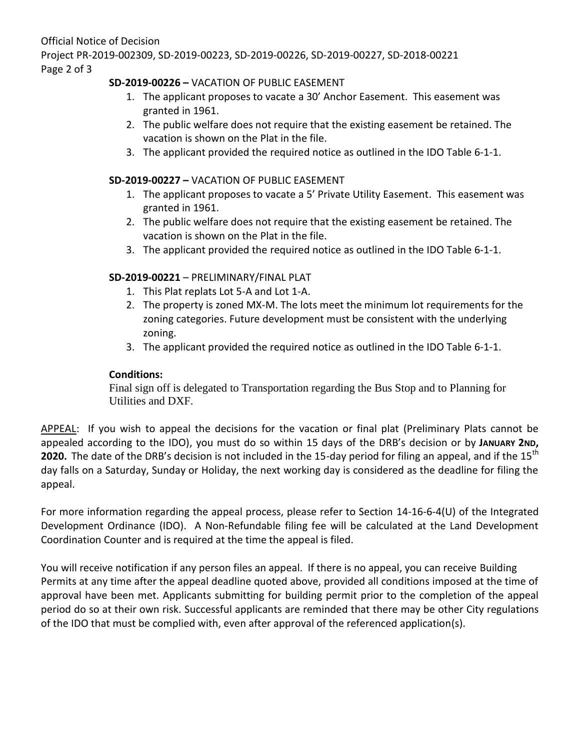Official Notice of Decision Project PR-2019-002309, SD-2019-00223, SD-2019-00226, SD-2019-00227, SD-2018-00221 Page 2 of 3

### **SD-2019-00226 –** VACATION OF PUBLIC EASEMENT

- 1. The applicant proposes to vacate a 30' Anchor Easement. This easement was granted in 1961.
- 2. The public welfare does not require that the existing easement be retained. The vacation is shown on the Plat in the file.
- 3. The applicant provided the required notice as outlined in the IDO Table 6-1-1.

### **SD-2019-00227 –** VACATION OF PUBLIC EASEMENT

- 1. The applicant proposes to vacate a 5' Private Utility Easement. This easement was granted in 1961.
- 2. The public welfare does not require that the existing easement be retained. The vacation is shown on the Plat in the file.
- 3. The applicant provided the required notice as outlined in the IDO Table 6-1-1.

## **SD-2019-00221** – PRELIMINARY/FINAL PLAT

- 1. This Plat replats Lot 5-A and Lot 1-A.
- 2. The property is zoned MX-M. The lots meet the minimum lot requirements for the zoning categories. Future development must be consistent with the underlying zoning.
- 3. The applicant provided the required notice as outlined in the IDO Table 6-1-1.

### **Conditions:**

Final sign off is delegated to Transportation regarding the Bus Stop and to Planning for Utilities and DXF.

APPEAL: If you wish to appeal the decisions for the vacation or final plat (Preliminary Plats cannot be appealed according to the IDO), you must do so within 15 days of the DRB's decision or by **JANUARY 2ND, 2020.** The date of the DRB's decision is not included in the 15-day period for filing an appeal, and if the  $15<sup>tn</sup>$ day falls on a Saturday, Sunday or Holiday, the next working day is considered as the deadline for filing the appeal.

For more information regarding the appeal process, please refer to Section 14-16-6-4(U) of the Integrated Development Ordinance (IDO). A Non-Refundable filing fee will be calculated at the Land Development Coordination Counter and is required at the time the appeal is filed.

You will receive notification if any person files an appeal. If there is no appeal, you can receive Building Permits at any time after the appeal deadline quoted above, provided all conditions imposed at the time of approval have been met. Applicants submitting for building permit prior to the completion of the appeal period do so at their own risk. Successful applicants are reminded that there may be other City regulations of the IDO that must be complied with, even after approval of the referenced application(s).